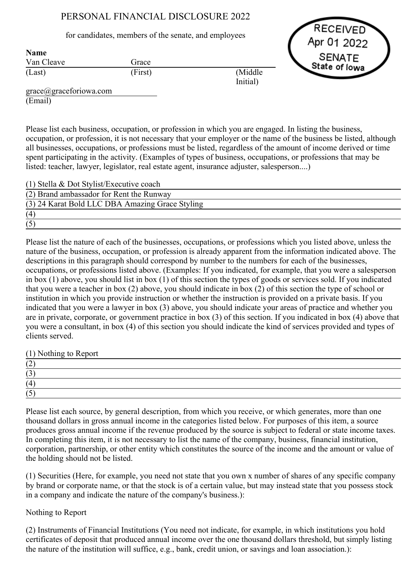## PERSONAL FINANCIAL DISCLOSURE 2022

for candidates, members of the senate, and employees

Grace

Van Cleave Name

(Last)

RECEIVED Apr 01 2022 **SENATE** State of lowa

grace@graceforiowa.com (Email)

Please list each business, occupation, or profession in which you are engaged. In listing the business, occupation, or profession, it is not necessary that your employer or the name of the business be listed, although all businesses, occupations, or professions must be listed, regardless of the amount of income derived or time spent participating in the activity. (Examples of types of business, occupations, or professions that may be listed: teacher, lawyer, legislator, real estate agent, insurance adjuster, salesperson....)

Initial)

(First) (Middle

(1) Stella & Dot Stylist/Executive coach

| (2) Brand ambassador for Rent the Runway        |  |
|-------------------------------------------------|--|
| (3) 24 Karat Bold LLC DBA Amazing Grace Styling |  |
| (4)                                             |  |
|                                                 |  |

Please list the nature of each of the businesses, occupations, or professions which you listed above, unless the nature of the business, occupation, or profession is already apparent from the information indicated above. The descriptions in this paragraph should correspond by number to the numbers for each of the businesses, occupations, or professions listed above. (Examples: If you indicated, for example, that you were a salesperson in box (1) above, you should list in box (1) of this section the types of goods or services sold. If you indicated that you were a teacher in box (2) above, you should indicate in box (2) of this section the type of school or institution in which you provide instruction or whether the instruction is provided on a private basis. If you indicated that you were a lawyer in box (3) above, you should indicate your areas of practice and whether you are in private, corporate, or government practice in box (3) of this section. If you indicated in box (4) above that you were a consultant, in box (4) of this section you should indicate the kind of services provided and types of clients served.

(1) Nothing to Report

| $\sim$<br>$\overline{\phantom{0}}$ |  |  |  |
|------------------------------------|--|--|--|
| (4)                                |  |  |  |
| ت                                  |  |  |  |

Please list each source, by general description, from which you receive, or which generates, more than one thousand dollars in gross annual income in the categories listed below. For purposes of this item, a source produces gross annual income if the revenue produced by the source is subject to federal or state income taxes. In completing this item, it is not necessary to list the name of the company, business, financial institution, corporation, partnership, or other entity which constitutes the source of the income and the amount or value of the holding should not be listed.

(1) Securities (Here, for example, you need not state that you own x number of shares of any specific company by brand or corporate name, or that the stock is of a certain value, but may instead state that you possess stock in a company and indicate the nature of the company's business.):

## Nothing to Report

(2) Instruments of Financial Institutions (You need not indicate, for example, in which institutions you hold certificates of deposit that produced annual income over the one thousand dollars threshold, but simply listing the nature of the institution will suffice, e.g., bank, credit union, or savings and loan association.):